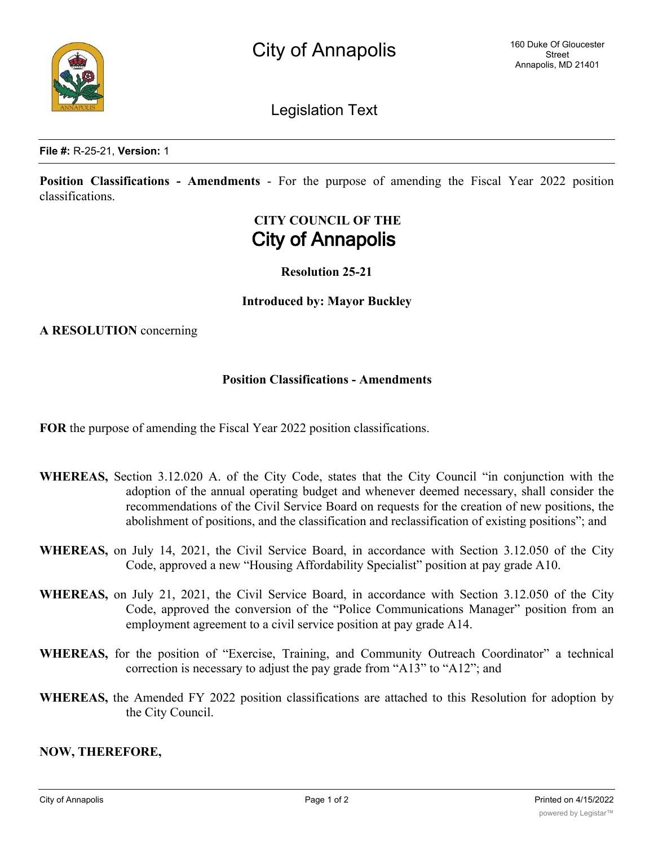Legislation Text

**Position Classifications - Amendments** - For the purpose of amending the Fiscal Year 2022 position classifications.

## **CITY COUNCIL OF THE City of Annapolis**

**Resolution 25-21**

**Introduced by: Mayor Buckley**

**A RESOLUTION** concerning

## **Position Classifications - Amendments**

**FOR** the purpose of amending the Fiscal Year 2022 position classifications.

- **WHEREAS,** Section 3.12.020 A. of the City Code, states that the City Council "in conjunction with the adoption of the annual operating budget and whenever deemed necessary, shall consider the recommendations of the Civil Service Board on requests for the creation of new positions, the abolishment of positions, and the classification and reclassification of existing positions"; and
- **WHEREAS,** on July 14, 2021, the Civil Service Board, in accordance with Section 3.12.050 of the City Code, approved a new "Housing Affordability Specialist" position at pay grade A10.
- **WHEREAS,** on July 21, 2021, the Civil Service Board, in accordance with Section 3.12.050 of the City Code, approved the conversion of the "Police Communications Manager" position from an employment agreement to a civil service position at pay grade A14.
- **WHEREAS,** for the position of "Exercise, Training, and Community Outreach Coordinator" a technical correction is necessary to adjust the pay grade from "A13" to "A12"; and
- **WHEREAS,** the Amended FY 2022 position classifications are attached to this Resolution for adoption by the City Council.

## **NOW, THEREFORE,**